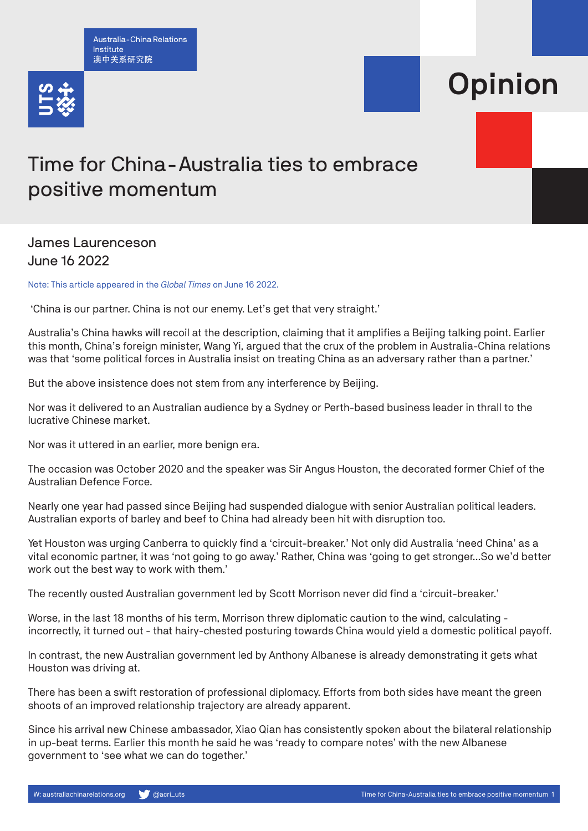Australia-China Relations Institute 澳中关系研究院



## Opinion

## Time for China-Australia ties to embrace positive momentum

## James Laurenceson June 16 2022

Note: This article appeared in the *Global Times* on June 16 2022.

'China is our partner. China is not our enemy. Let's get that very straight.'

Australia's China hawks will recoil at the description, claiming that it amplifies a Beijing talking point. Earlier this month, China's foreign minister, Wang Yi, argued that the crux of the problem in Australia-China relations was that 'some political forces in Australia insist on treating China as an adversary rather than a partner.'

But the above insistence does not stem from any interference by Beijing.

Nor was it delivered to an Australian audience by a Sydney or Perth-based business leader in thrall to the lucrative Chinese market.

Nor was it uttered in an earlier, more benign era.

The occasion was October 2020 and the speaker was Sir Angus Houston, the decorated former Chief of the Australian Defence Force.

Nearly one year had passed since Beijing had suspended dialogue with senior Australian political leaders. Australian exports of barley and beef to China had already been hit with disruption too.

Yet Houston was urging Canberra to quickly find a 'circuit-breaker.' Not only did Australia 'need China' as a vital economic partner, it was 'not going to go away.' Rather, China was 'going to get stronger…So we'd better work out the best way to work with them.'

The recently ousted Australian government led by Scott Morrison never did find a 'circuit-breaker.'

Worse, in the last 18 months of his term, Morrison threw diplomatic caution to the wind, calculating incorrectly, it turned out - that hairy-chested posturing towards China would yield a domestic political payoff.

In contrast, the new Australian government led by Anthony Albanese is already demonstrating it gets what Houston was driving at.

There has been a swift restoration of professional diplomacy. Efforts from both sides have meant the green shoots of an improved relationship trajectory are already apparent.

Since his arrival new Chinese ambassador, Xiao Qian has consistently spoken about the bilateral relationship in up-beat terms. Earlier this month he said he was 'ready to compare notes' with the new Albanese government to 'see what we can do together.'